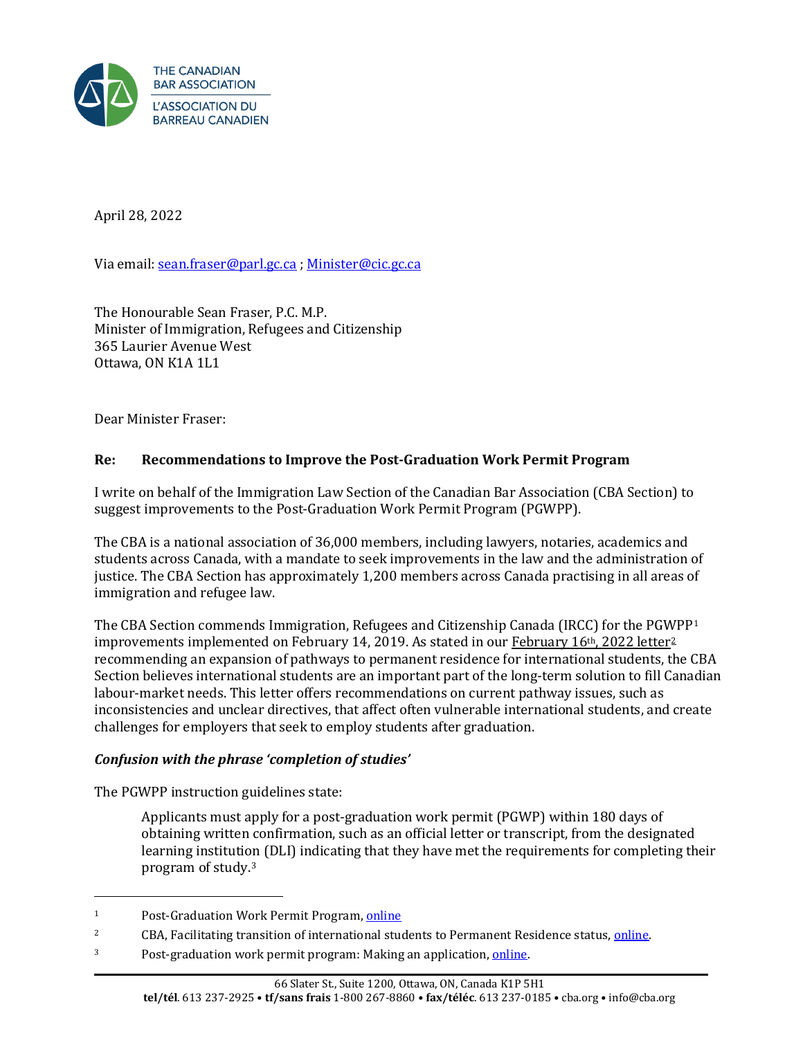

April 28, 2022

Via email[: sean.fraser@parl.gc.ca](mailto:sean.fraser@parl.gc.ca) ; [Minister@cic.gc.ca](mailto:Minister@cic.gc.ca) 

The Honourable Sean Fraser, P.C. M.P. Minister of Immigration, Refugees and Citizenship 365 Laurier Avenue West Ottawa, ON K1A 1L1

Dear Minister Fraser:

### **Re: Recommendations to Improve the Post-Graduation Work Permit Program**

I write on behalf of the Immigration Law Section of the Canadian Bar Association (CBA Section) to suggest improvements to the Post-Graduation Work Permit Program (PGWPP).

The CBA is a national association of 36,000 members, including lawyers, notaries, academics and students across Canada, with a mandate to seek improvements in the law and the administration of justice. The CBA Section has approximately 1,200 members across Canada practising in all areas of immigration and refugee law.

The CBA Section commends Immigration, Refugees and Citizenship Canada (IRCC) for the PGWPP1 improvements implemented on February 14, 2019. As stated in our February 16th, 2022 letter<sup>2</sup> recommending an expansion of pathways to permanent residence for international students, the CBA Section believes international students are an important part of the long-term solution to fill Canadian labour-market needs. This letter offers recommendations on current pathway issues, such as inconsistencies and unclear directives, that affect often vulnerable international students, and create challenges for employers that seek to employ students after graduation.

### *Confusion with the phrase 'completion of studies'*

The PGWPP instruction guidelines state:

Applicants must apply for a post-graduation work permit (PGWP) within 180 days of obtaining written confirmation, such as an official letter or transcript, from the designated learning institution (DLI) indicating that they have met the requirements for completing their program of study.3

<sup>&</sup>lt;sup>1</sup> Post-Graduation Work Permit Program[, online](https://www.canada.ca/en/immigration-refugees-citizenship/corporate/publications-manuals/operational-bulletins-manuals/temporary-residents/study-permits/post-graduation-work-permit-program.html)

<sup>&</sup>lt;sup>2</sup> CBA, Facilitating transition of international students to Permanent Residence status, *online*.

<sup>3</sup> Post-graduation work permit program: Making an application[, online.](https://www.canada.ca/en/immigration-refugees-citizenship/corporate/publications-manuals/operational-bulletins-manuals/temporary-residents/study-permits/post-graduation-work-permit-program/permit.html#application)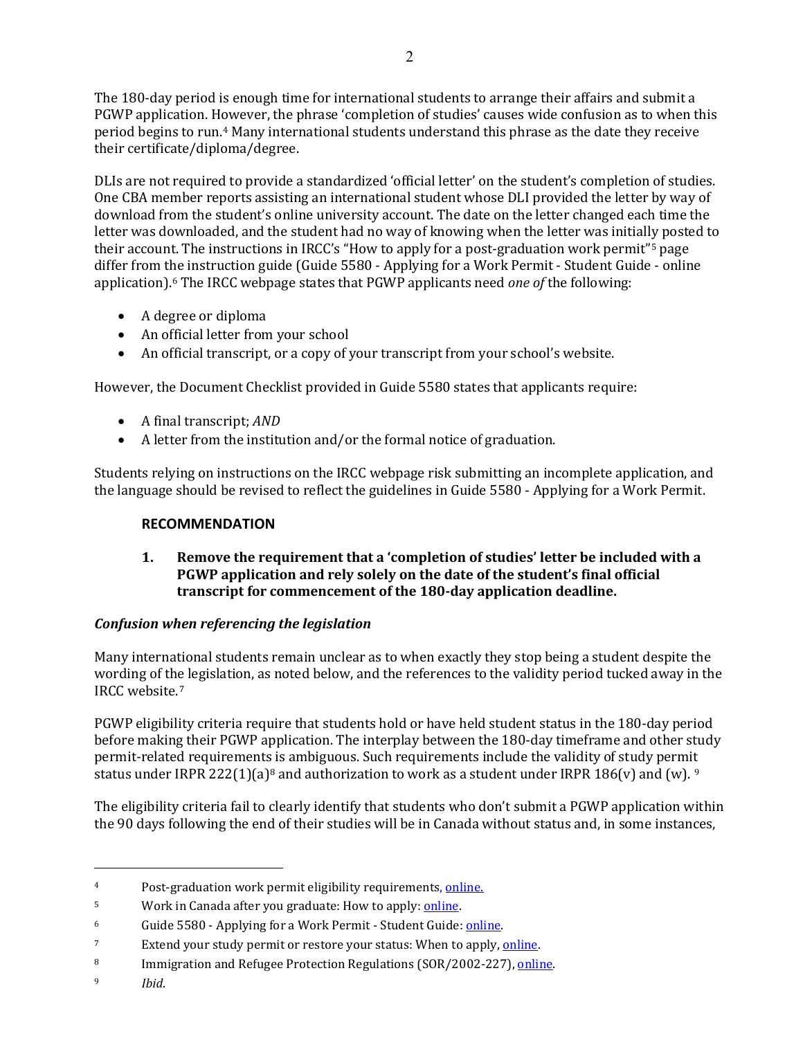The 180-day period is enough time for international students to arrange their affairs and submit a PGWP application. However, the phrase 'completion of studies' causes wide confusion as to when this period begins to run.4 Many international students understand this phrase as the date they receive their certificate/diploma/degree.

DLIs are not required to provide a standardized 'official letter' on the student's completion of studies. One CBA member reports assisting an international student whose DLI provided the letter by way of download from the student's online university account. The date on the letter changed each time the letter was downloaded, and the student had no way of knowing when the letter was initially posted to their account. The instructions in IRCC's "How to apply for a post-graduation work permit"<sup>5</sup> page differ from the instruction guide (Guide 5580 - Applying for a Work Permit - Student Guide - online application).6 The IRCC webpage states that PGWP applicants need *one of* the following:

- A degree or diploma
- An official letter from your school
- An official transcript, or a copy of your transcript from your school's website.

However, the Document Checklist provided in Guide 5580 states that applicants require:

- A final transcript; *AND*
- A letter from the institution and/or the formal notice of graduation.

Students relying on instructions on the IRCC webpage risk submitting an incomplete application, and the language should be revised to reflect the guidelines in Guide 5580 - Applying for a Work Permit.

### **RECOMMENDATION**

## **1. Remove the requirement that a 'completion of studies' letter be included with a PGWP application and rely solely on the date of the student's final official transcript for commencement of the 180-day application deadline.**

### *Confusion when referencing the legislation*

Many international students remain unclear as to when exactly they stop being a student despite the wording of the legislation, as noted below, and the references to the validity period tucked away in the IRCC website.7

PGWP eligibility criteria require that students hold or have held student status in the 180-day period before making their PGWP application. The interplay between the 180-day timeframe and other study permit-related requirements is ambiguous. Such requirements include the validity of study permit status under IRPR 222(1)(a)<sup>8</sup> and authorization to work as a student under IRPR 186(v) and (w). <sup>9</sup>

The eligibility criteria fail to clearly identify that students who don't submit a PGWP application within the 90 days following the end of their studies will be in Canada without status and, in some instances,

<sup>&</sup>lt;sup>4</sup> Post-graduation work permit eligibility requirements, [online.](https://www.canada.ca/en/immigration-refugees-citizenship/corporate/publications-manuals/operational-bulletins-manuals/temporary-residents/study-permits/post-graduation-work-permit-program/eligibility.html)

<sup>5</sup> Work in Canada after you graduate: How to apply[: online.](https://www.canada.ca/en/immigration-refugees-citizenship/services/study-canada/work/after-graduation/apply.html) 

<sup>6</sup> Guide 5580 - Applying for a Work Permit - Student Guide[: online.](https://www.canada.ca/en/immigration-refugees-citizenship/services/application/application-forms-guides/guide-5580-applying-work-permit-student-guide.html#gather) 

<sup>&</sup>lt;sup>7</sup> Extend your study permit or restore your status: When to apply, **online**.

<sup>8</sup> Immigration and Refugee Protection Regulations (SOR/2002-227), online.

<sup>9</sup> *Ibid*.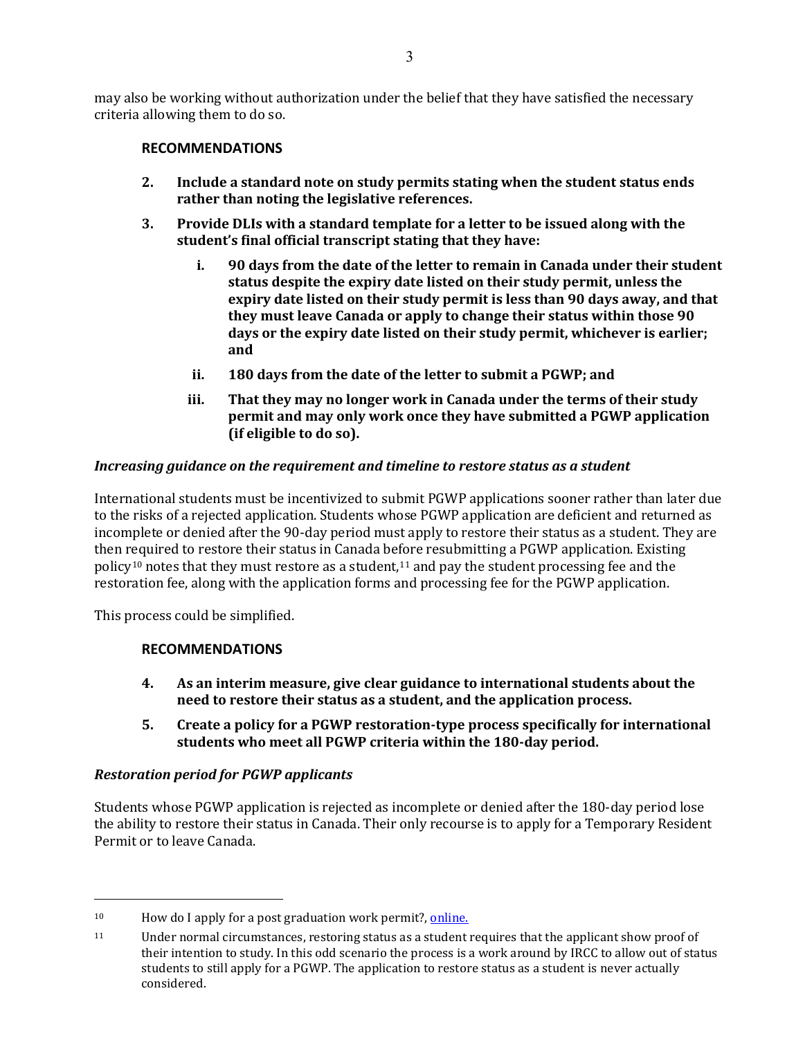may also be working without authorization under the belief that they have satisfied the necessary criteria allowing them to do so.

## **RECOMMENDATIONS**

- **2. Include a standard note on study permits stating when the student status ends rather than noting the legislative references.**
- **3. Provide DLIs with a standard template for a letter to be issued along with the student's final official transcript stating that they have:**
	- **i. 90 days from the date of the letter to remain in Canada under their student status despite the expiry date listed on their study permit, unless the expiry date listed on their study permit is less than 90 days away, and that they must leave Canada or apply to change their status within those 90 days or the expiry date listed on their study permit, whichever is earlier; and**
	- **ii. 180 days from the date of the letter to submit a PGWP; and**
	- **iii. That they may no longer work in Canada under the terms of their study permit and may only work once they have submitted a PGWP application (if eligible to do so).**

### *Increasing guidance on the requirement and timeline to restore status as a student*

International students must be incentivized to submit PGWP applications sooner rather than later due to the risks of a rejected application. Students whose PGWP application are deficient and returned as incomplete or denied after the 90-day period must apply to restore their status as a student. They are then required to restore their status in Canada before resubmitting a PGWP application. Existing policy<sup>10</sup> notes that they must restore as a student,<sup>11</sup> and pay the student processing fee and the restoration fee, along with the application forms and processing fee for the PGWP application.

This process could be simplified.

# **RECOMMENDATIONS**

- **4. As an interim measure, give clear guidance to international students about the need to restore their status as a student, and the application process.**
- **5. Create a policy for a PGWP restoration-type process specifically for international students who meet all PGWP criteria within the 180-day period.**

### *Restoration period for PGWP applicants*

Students whose PGWP application is rejected as incomplete or denied after the 180-day period lose the ability to restore their status in Canada. Their only recourse is to apply for a Temporary Resident Permit or to leave Canada.

 $10$  How do I apply for a post graduation work permit?, online.

<sup>11</sup> Under normal circumstances, restoring status as a student requires that the applicant show proof of their intention to study. In this odd scenario the process is a work around by IRCC to allow out of status students to still apply for a PGWP. The application to restore status as a student is never actually considered.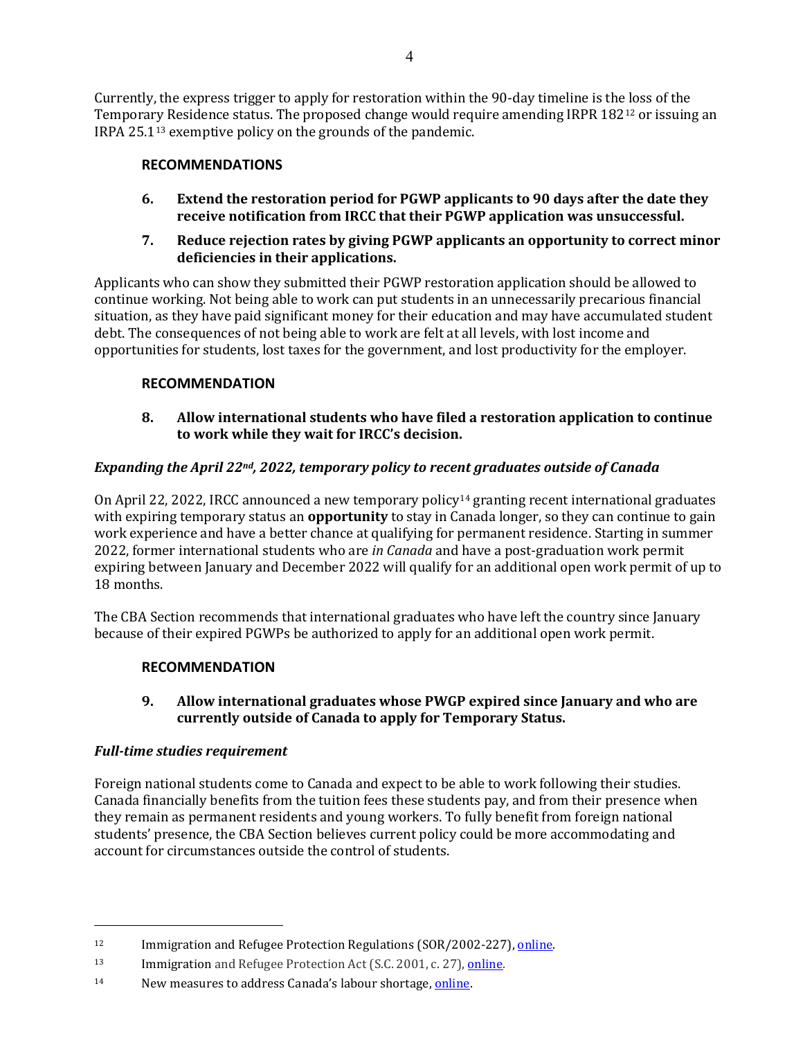Currently, the express trigger to apply for restoration within the 90-day timeline is the loss of the Temporary Residence status. The proposed change would require amending IRPR 18212 or issuing an IRPA 25.113 exemptive policy on the grounds of the pandemic.

## **RECOMMENDATIONS**

- **6. Extend the restoration period for PGWP applicants to 90 days after the date they receive notification from IRCC that their PGWP application was unsuccessful.**
- **7. Reduce rejection rates by giving PGWP applicants an opportunity to correct minor deficiencies in their applications.**

Applicants who can show they submitted their PGWP restoration application should be allowed to continue working. Not being able to work can put students in an unnecessarily precarious financial situation, as they have paid significant money for their education and may have accumulated student debt. The consequences of not being able to work are felt at all levels, with lost income and opportunities for students, lost taxes for the government, and lost productivity for the employer.

### **RECOMMENDATION**

### **8. Allow international students who have filed a restoration application to continue to work while they wait for IRCC's decision.**

## *Expanding the April 22nd, 2022, temporary policy to recent graduates outside of Canada*

On April 22, 2022, IRCC announced a new temporary policy14 granting recent international graduates with expiring temporary status an **opportunity** to stay in Canada longer, so they can continue to gain work experience and have a better chance at qualifying for permanent residence. Starting in summer 2022, former international students who are *in Canada* and have a post-graduation work permit expiring between January and December 2022 will qualify for an additional open work permit of up to 18 months.

The CBA Section recommends that international graduates who have left the country since January because of their expired PGWPs be authorized to apply for an additional open work permit.

### **RECOMMENDATION**

## **9. Allow international graduates whose PWGP expired since January and who are currently outside of Canada to apply for Temporary Status.**

### *Full-time studies requirement*

Foreign national students come to Canada and expect to be able to work following their studies. Canada financially benefits from the tuition fees these students pay, and from their presence when they remain as permanent residents and young workers. To fully benefit from foreign national students' presence, the CBA Section believes current policy could be more accommodating and account for circumstances outside the control of students.

<sup>&</sup>lt;sup>12</sup> Immigration and Refugee Protection Regulations (SOR/2002-227), [online.](https://laws-lois.justice.gc.ca/eng/regulations/SOR-2002-227/section-222.html)

<sup>13</sup> Immigration and Refugee Protection Act (S.C. 2001, c. 27), online.

<sup>14</sup> New measures to address Canada's labour shortage[, online.](https://www.canada.ca/en/immigration-refugees-citizenship/news/2022/04/new-measures-to-address-canadas-labour-shortage.html)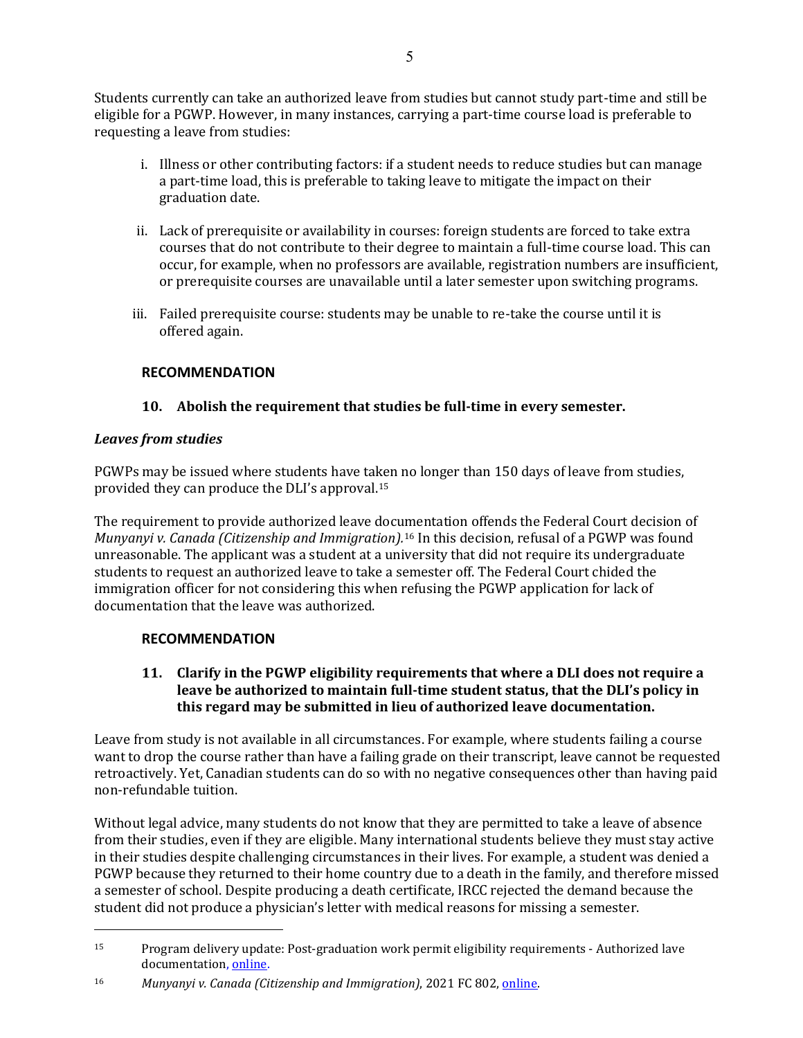Students currently can take an authorized leave from studies but cannot study part-time and still be eligible for a PGWP. However, in many instances, carrying a part-time course load is preferable to requesting a leave from studies:

- i. Illness or other contributing factors: if a student needs to reduce studies but can manage a part-time load, this is preferable to taking leave to mitigate the impact on their graduation date.
- ii. Lack of prerequisite or availability in courses: foreign students are forced to take extra courses that do not contribute to their degree to maintain a full-time course load. This can occur, for example, when no professors are available, registration numbers are insufficient, or prerequisite courses are unavailable until a later semester upon switching programs.
- iii. Failed prerequisite course: students may be unable to re-take the course until it is offered again.

## **RECOMMENDATION**

## **10. Abolish the requirement that studies be full-time in every semester.**

### *Leaves from studies*

PGWPs may be issued where students have taken no longer than 150 days of leave from studies, provided they can produce the DLI's approval.15

The requirement to provide authorized leave documentation offends the Federal Court decision of *Munyanyi v. Canada (Citizenship and Immigration).*<sup>16</sup> In this decision, refusal of a PGWP was found unreasonable. The applicant was a student at a university that did not require its undergraduate students to request an authorized leave to take a semester off. The Federal Court chided the immigration officer for not considering this when refusing the PGWP application for lack of documentation that the leave was authorized.

# **RECOMMENDATION**

**11. Clarify in the PGWP eligibility requirements that where a DLI does not require a leave be authorized to maintain full-time student status, that the DLI's policy in this regard may be submitted in lieu of authorized leave documentation.**

Leave from study is not available in all circumstances. For example, where students failing a course want to drop the course rather than have a failing grade on their transcript, leave cannot be requested retroactively. Yet, Canadian students can do so with no negative consequences other than having paid non-refundable tuition.

Without legal advice, many students do not know that they are permitted to take a leave of absence from their studies, even if they are eligible. Many international students believe they must stay active in their studies despite challenging circumstances in their lives. For example, a student was denied a PGWP because they returned to their home country due to a death in the family, and therefore missed a semester of school. Despite producing a death certificate, IRCC rejected the demand because the student did not produce a physician's letter with medical reasons for missing a semester.

<sup>15</sup> Program delivery update: Post-graduation work permit eligibility requirements - Authorized lave documentation, [online.](https://www.canada.ca/en/immigration-refugees-citizenship/corporate/publications-manuals/operational-bulletins-manuals/updates/2022-post-graduation-work.html)

<sup>16</sup> *Munyanyi v. Canada (Citizenship and Immigration)*, 2021 FC 802[, online.](https://www.canlii.org/en/ca/fct/doc/2021/2021fc802/2021fc802.html)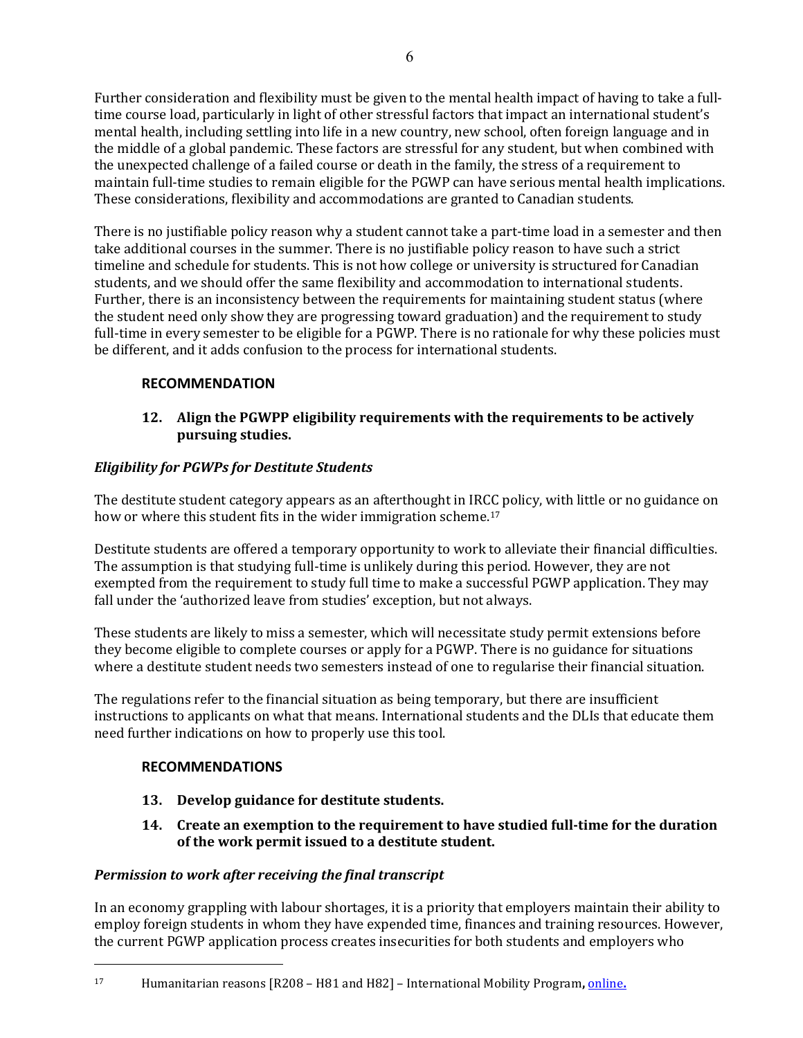Further consideration and flexibility must be given to the mental health impact of having to take a fulltime course load, particularly in light of other stressful factors that impact an international student's mental health, including settling into life in a new country, new school, often foreign language and in the middle of a global pandemic. These factors are stressful for any student, but when combined with the unexpected challenge of a failed course or death in the family, the stress of a requirement to maintain full-time studies to remain eligible for the PGWP can have serious mental health implications. These considerations, flexibility and accommodations are granted to Canadian students.

There is no justifiable policy reason why a student cannot take a part-time load in a semester and then take additional courses in the summer. There is no justifiable policy reason to have such a strict timeline and schedule for students. This is not how college or university is structured for Canadian students, and we should offer the same flexibility and accommodation to international students. Further, there is an inconsistency between the requirements for maintaining student status (where the student need only show they are progressing toward graduation) and the requirement to study full-time in every semester to be eligible for a PGWP. There is no rationale for why these policies must be different, and it adds confusion to the process for international students.

# **RECOMMENDATION**

## **12. Align the PGWPP eligibility requirements with the requirements to be actively pursuing studies.**

# *Eligibility for PGWPs for Destitute Students*

The destitute student category appears as an afterthought in IRCC policy, with little or no guidance on how or where this student fits in the wider immigration scheme.<sup>17</sup>

Destitute students are offered a temporary opportunity to work to alleviate their financial difficulties. The assumption is that studying full-time is unlikely during this period. However, they are not exempted from the requirement to study full time to make a successful PGWP application. They may fall under the 'authorized leave from studies' exception, but not always.

These students are likely to miss a semester, which will necessitate study permit extensions before they become eligible to complete courses or apply for a PGWP. There is no guidance for situations where a destitute student needs two semesters instead of one to regularise their financial situation.

The regulations refer to the financial situation as being temporary, but there are insufficient instructions to applicants on what that means. International students and the DLIs that educate them need further indications on how to properly use this tool.

# **RECOMMENDATIONS**

- **13. Develop guidance for destitute students.**
- **14. Create an exemption to the requirement to have studied full-time for the duration of the work permit issued to a destitute student.**

# *Permission to work after receiving the final transcript*

In an economy grappling with labour shortages, it is a priority that employers maintain their ability to employ foreign students in whom they have expended time, finances and training resources. However, the current PGWP application process creates insecurities for both students and employers who

<sup>17</sup> Humanitarian reasons [R208 – H81 and H82] – International Mobility Program**,** [online](https://www.canada.ca/en/immigration-refugees-citizenship/corporate/publications-manuals/operational-bulletins-manuals/temporary-residents/foreign-workers/humanitarian-reasons-r208.html)**.**